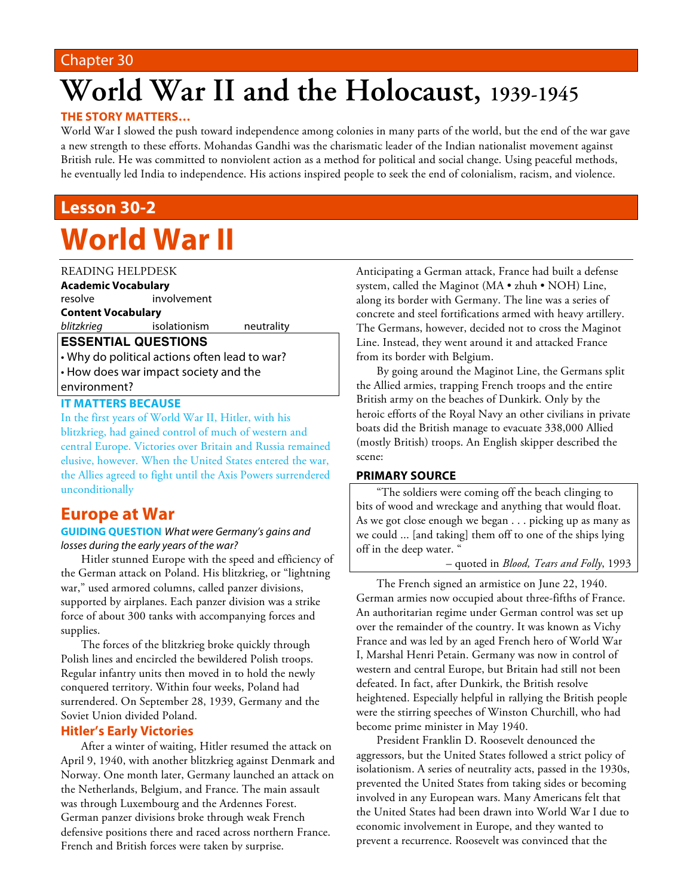# Chapter 30

# **World War II and the Holocaust, 1939-1945**

# **THE STORY MATTERS…**

World War I slowed the push toward independence among colonies in many parts of the world, but the end of the war gave a new strength to these efforts. Mohandas Gandhi was the charismatic leader of the Indian nationalist movement against British rule. He was committed to nonviolent action as a method for political and social change. Using peaceful methods, he eventually led India to independence. His actions inspired people to seek the end of colonialism, racism, and violence.

# **Lesson 30-2**

# **World War II**

### READING HELPDESK

**Academic Vocabulary** resolve involvement

**Content Vocabulary**

*blitzkrieg* isolationism neutrality

## **ESSENTIAL QUESTIONS**

• Why do political actions often lead to war? • How does war impact society and the environment?

### **IT MATTERS BECAUSE**

In the first years of World War II, Hitler, with his blitzkrieg, had gained control of much of western and central Europe. Victories over Britain and Russia remained elusive, however. When the United States entered the war, the Allies agreed to fight until the Axis Powers surrendered unconditionally

# **Europe at War**

### **GUIDING QUESTION** *What were Germany's gains and losses during the early years of the war?*

Hitler stunned Europe with the speed and efficiency of the German attack on Poland. His blitzkrieg, or "lightning war," used armored columns, called panzer divisions, supported by airplanes. Each panzer division was a strike force of about 300 tanks with accompanying forces and supplies.

The forces of the blitzkrieg broke quickly through Polish lines and encircled the bewildered Polish troops. Regular infantry units then moved in to hold the newly conquered territory. Within four weeks, Poland had surrendered. On September 28, 1939, Germany and the Soviet Union divided Poland.

# **Hitler's Early Victories**

After a winter of waiting, Hitler resumed the attack on April 9, 1940, with another blitzkrieg against Denmark and Norway. One month later, Germany launched an attack on the Netherlands, Belgium, and France. The main assault was through Luxembourg and the Ardennes Forest. German panzer divisions broke through weak French defensive positions there and raced across northern France. French and British forces were taken by surprise.

Anticipating a German attack, France had built a defense system, called the Maginot (MA • zhuh • NOH) Line, along its border with Germany. The line was a series of concrete and steel fortifications armed with heavy artillery. The Germans, however, decided not to cross the Maginot Line. Instead, they went around it and attacked France from its border with Belgium.

By going around the Maginot Line, the Germans split the Allied armies, trapping French troops and the entire British army on the beaches of Dunkirk. Only by the heroic efforts of the Royal Navy an other civilians in private boats did the British manage to evacuate 338,000 Allied (mostly British) troops. An English skipper described the scene:

### **PRIMARY SOURCE**

"The soldiers were coming off the beach clinging to bits of wood and wreckage and anything that would float. As we got close enough we began . . . picking up as many as we could ... [and taking] them off to one of the ships lying off in the deep water. "

– quoted in *Blood, Tears and Folly*, 1993

The French signed an armistice on June 22, 1940. German armies now occupied about three-fifths of France. An authoritarian regime under German control was set up over the remainder of the country. It was known as Vichy France and was led by an aged French hero of World War I, Marshal Henri Petain. Germany was now in control of western and central Europe, but Britain had still not been defeated. In fact, after Dunkirk, the British resolve heightened. Especially helpful in rallying the British people were the stirring speeches of Winston Churchill, who had become prime minister in May 1940.

President Franklin D. Roosevelt denounced the aggressors, but the United States followed a strict policy of isolationism. A series of neutrality acts, passed in the 1930s, prevented the United States from taking sides or becoming involved in any European wars. Many Americans felt that the United States had been drawn into World War I due to economic involvement in Europe, and they wanted to prevent a recurrence. Roosevelt was convinced that the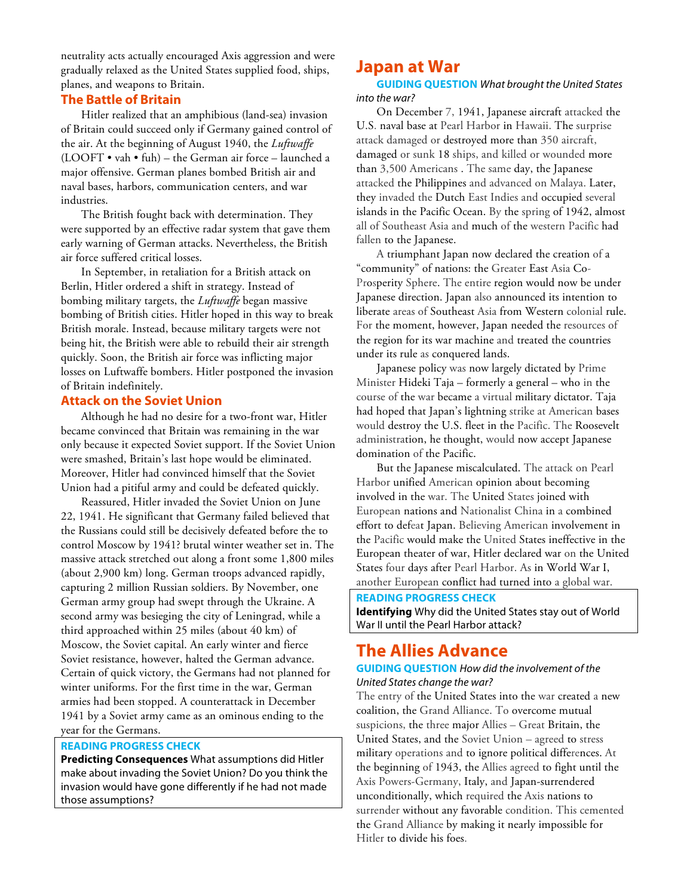neutrality acts actually encouraged Axis aggression and were gradually relaxed as the United States supplied food, ships, planes, and weapons to Britain.

## **The Battle of Britain**

Hitler realized that an amphibious (land-sea) invasion of Britain could succeed only if Germany gained control of the air. At the beginning of August 1940, the *Luftwaffe* (LOOFT • vah • fuh) – the German air force – launched a major offensive. German planes bombed British air and naval bases, harbors, communication centers, and war industries.

The British fought back with determination. They were supported by an effective radar system that gave them early warning of German attacks. Nevertheless, the British air force suffered critical losses.

In September, in retaliation for a British attack on Berlin, Hitler ordered a shift in strategy. Instead of bombing military targets, the *Luftwaffe* began massive bombing of British cities. Hitler hoped in this way to break British morale. Instead, because military targets were not being hit, the British were able to rebuild their air strength quickly. Soon, the British air force was inflicting major losses on Luftwaffe bombers. Hitler postponed the invasion of Britain indefinitely.

### **Attack on the Soviet Union**

Although he had no desire for a two-front war, Hitler became convinced that Britain was remaining in the war only because it expected Soviet support. If the Soviet Union were smashed, Britain's last hope would be eliminated. Moreover, Hitler had convinced himself that the Soviet Union had a pitiful army and could be defeated quickly.

Reassured, Hitler invaded the Soviet Union on June 22, 1941. He significant that Germany failed believed that the Russians could still be decisively defeated before the to control Moscow by 1941? brutal winter weather set in. The massive attack stretched out along a front some 1,800 miles (about 2,900 km) long. German troops advanced rapidly, capturing 2 million Russian soldiers. By November, one German army group had swept through the Ukraine. A second army was besieging the city of Leningrad, while a third approached within 25 miles (about 40 km) of Moscow, the Soviet capital. An early winter and fierce Soviet resistance, however, halted the German advance. Certain of quick victory, the Germans had not planned for winter uniforms. For the first time in the war, German armies had been stopped. A counterattack in December 1941 by a Soviet army came as an ominous ending to the year for the Germans.

### **READING PROGRESS CHECK**

**Predicting Consequences** What assumptions did Hitler make about invading the Soviet Union? Do you think the invasion would have gone differently if he had not made those assumptions?

# **Japan at War**

**GUIDING QUESTION** *What brought the United States into the war?*

On December 7, 1941, Japanese aircraft attacked the U.S. naval base at Pearl Harbor in Hawaii. The surprise attack damaged or destroyed more than 350 aircraft, damaged or sunk 18 ships, and killed or wounded more than 3,500 Americans . The same day, the Japanese attacked the Philippines and advanced on Malaya. Later, they invaded the Dutch East Indies and occupied several islands in the Pacific Ocean. By the spring of 1942, almost all of Southeast Asia and much of the western Pacific had fallen to the Japanese.

A triumphant Japan now declared the creation of a "community" of nations: the Greater East Asia Co-Prosperity Sphere. The entire region would now be under Japanese direction. Japan also announced its intention to liberate areas of Southeast Asia from Western colonial rule. For the moment, however, Japan needed the resources of the region for its war machine and treated the countries under its rule as conquered lands.

Japanese policy was now largely dictated by Prime Minister Hideki Taja – formerly a general – who in the course of the war became a virtual military dictator. Taja had hoped that Japan's lightning strike at American bases would destroy the U.S. fleet in the Pacific. The Roosevelt administration, he thought, would now accept Japanese domination of the Pacific.

But the Japanese miscalculated. The attack on Pearl Harbor unified American opinion about becoming involved in the war. The United States joined with European nations and Nationalist China in a combined effort to defeat Japan. Believing American involvement in the Pacific would make the United States ineffective in the European theater of war, Hitler declared war on the United States four days after Pearl Harbor. As in World War I, another European conflict had turned into a global war.

### **READING PROGRESS CHECK**

**Identifying** Why did the United States stay out of World War II until the Pearl Harbor attack?

# **The Allies Advance**

### **GUIDING QUESTION** *How did the involvement of the United States change the war?*

The entry of the United States into the war created a new coalition, the Grand Alliance. To overcome mutual suspicions, the three major Allies – Great Britain, the United States, and the Soviet Union – agreed to stress military operations and to ignore political differences. At the beginning of 1943, the Allies agreed to fight until the Axis Powers-Germany, Italy, and Japan-surrendered unconditionally, which required the Axis nations to surrender without any favorable condition. This cemented the Grand Alliance by making it nearly impossible for Hitler to divide his foes.